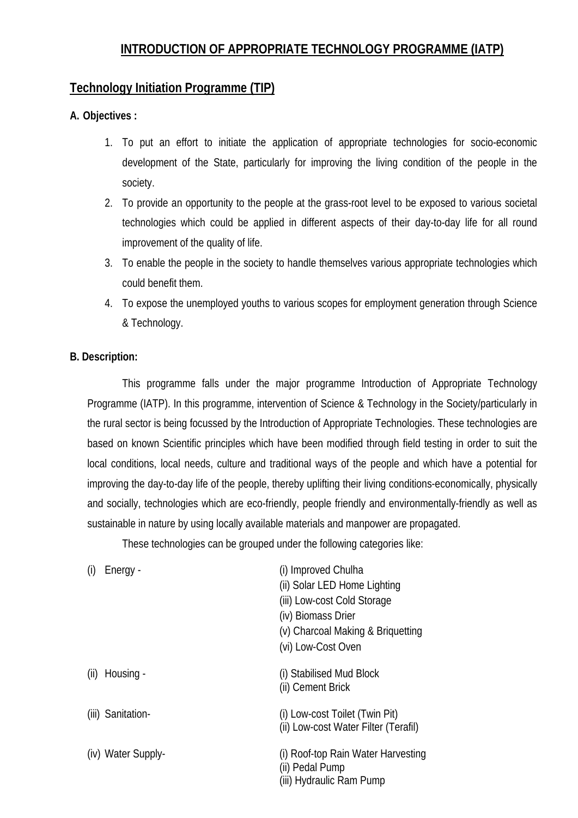# **INTRODUCTION OF APPROPRIATE TECHNOLOGY PROGRAMME (IATP)**

# **Technology Initiation Programme (TIP)**

#### **A. Objectives :**

- 1. To put an effort to initiate the application of appropriate technologies for socio-economic development of the State, particularly for improving the living condition of the people in the society.
- 2. To provide an opportunity to the people at the grass-root level to be exposed to various societal technologies which could be applied in different aspects of their day-to-day life for all round improvement of the quality of life.
- 3. To enable the people in the society to handle themselves various appropriate technologies which could benefit them.
- 4. To expose the unemployed youths to various scopes for employment generation through Science & Technology.

#### **B. Description:**

This programme falls under the major programme Introduction of Appropriate Technology Programme (IATP). In this programme, intervention of Science & Technology in the Society/particularly in the rural sector is being focussed by the Introduction of Appropriate Technologies. These technologies are based on known Scientific principles which have been modified through field testing in order to suit the local conditions, local needs, culture and traditional ways of the people and which have a potential for improving the day-to-day life of the people, thereby uplifting their living conditions-economically, physically and socially, technologies which are eco-friendly, people friendly and environmentally-friendly as well as sustainable in nature by using locally available materials and manpower are propagated.

These technologies can be grouped under the following categories like:

|      | Energy -           | (i) Improved Chulha<br>(ii) Solar LED Home Lighting<br>(iii) Low-cost Cold Storage<br>(iv) Biomass Drier<br>(v) Charcoal Making & Briquetting<br>(vi) Low-Cost Oven |
|------|--------------------|---------------------------------------------------------------------------------------------------------------------------------------------------------------------|
| (ii) | Housing -          | (i) Stabilised Mud Block<br>(ii) Cement Brick                                                                                                                       |
|      | (iii) Sanitation-  | (i) Low-cost Toilet (Twin Pit)<br>(ii) Low-cost Water Filter (Terafil)                                                                                              |
|      | (iv) Water Supply- | (i) Roof-top Rain Water Harvesting<br>(ii) Pedal Pump<br>(iii) Hydraulic Ram Pump                                                                                   |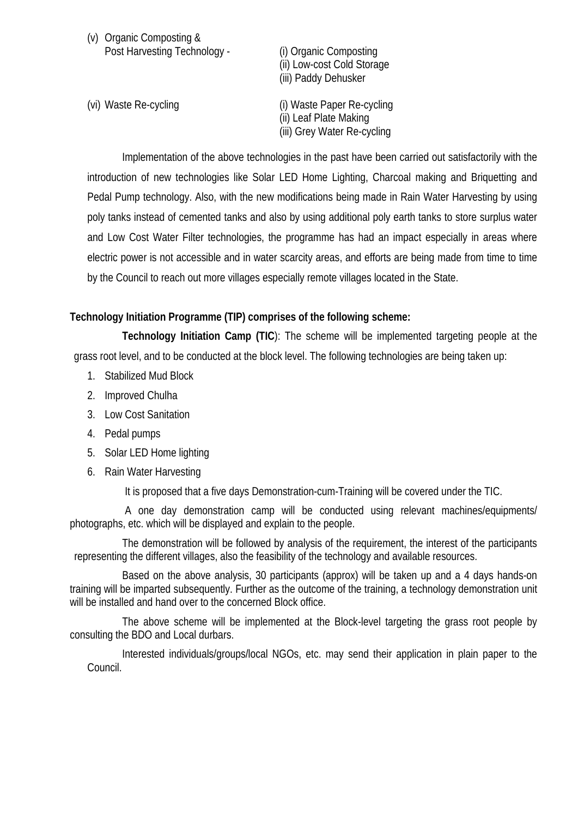| (v) Organic Composting &     |  |
|------------------------------|--|
| Post Harvesting Technology - |  |

(i) Organic Composting (ii) Low-cost Cold Storage (iii) Paddy Dehusker

(vi) Waste Re-cycling (i) Waste Paper Re-cycling (ii) Leaf Plate Making (iii) Grey Water Re-cycling

Implementation of the above technologies in the past have been carried out satisfactorily with the introduction of new technologies like Solar LED Home Lighting, Charcoal making and Briquetting and Pedal Pump technology. Also, with the new modifications being made in Rain Water Harvesting by using poly tanks instead of cemented tanks and also by using additional poly earth tanks to store surplus water and Low Cost Water Filter technologies, the programme has had an impact especially in areas where electric power is not accessible and in water scarcity areas, and efforts are being made from time to time by the Council to reach out more villages especially remote villages located in the State.

### **Technology Initiation Programme (TIP) comprises of the following scheme:**

**Technology Initiation Camp (TIC**): The scheme will be implemented targeting people at the grass root level, and to be conducted at the block level. The following technologies are being taken up:

- 1. Stabilized Mud Block
- 2. Improved Chulha
- 3. Low Cost Sanitation
- 4. Pedal pumps
- 5. Solar LED Home lighting
- 6. Rain Water Harvesting

It is proposed that a five days Demonstration-cum-Training will be covered under the TIC.

 A one day demonstration camp will be conducted using relevant machines/equipments/ photographs, etc. which will be displayed and explain to the people.

The demonstration will be followed by analysis of the requirement, the interest of the participants representing the different villages, also the feasibility of the technology and available resources.

Based on the above analysis, 30 participants (approx) will be taken up and a 4 days hands-on training will be imparted subsequently. Further as the outcome of the training, a technology demonstration unit will be installed and hand over to the concerned Block office.

The above scheme will be implemented at the Block-level targeting the grass root people by consulting the BDO and Local durbars.

Interested individuals/groups/local NGOs, etc. may send their application in plain paper to the Council.